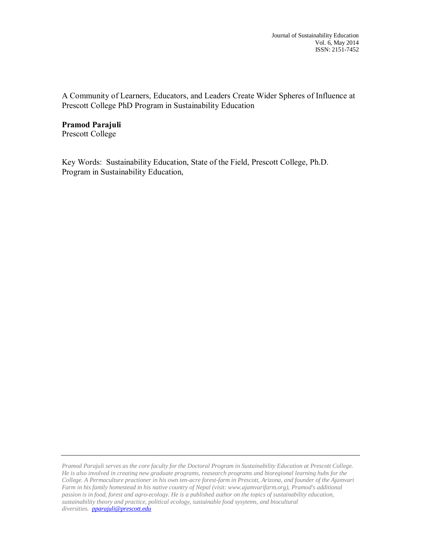Journal of Sustainability Education Vol. 6, May 2014 ISSN: 2151-7452

A Community of Learners, Educators, and Leaders Create Wider Spheres of Influence at Prescott College PhD Program in Sustainability Education

**Pramod Parajuli** Prescott College

Key Words: Sustainability Education, State of the Field, Prescott College, Ph.D. Program in Sustainability Education,

*Pramod Parajuli serves as the core faculty for the Doctoral Program in Sustainability Education at Prescott College. He is also involved in creating new graduate programs, reasearch programs and bioregional learning hubs for the College. A Permaculture practioner in his own ten-acre forest-farm in Prescott, Arizona, and founder of the Ajamvari Farm in his family homestead in his native country of Nepal (visit: www.ajamvarifarm.org), Pramod's additional passion is in food, forest and agro-ecology. He is a published author on the topics of sustainability education, sustainability theory and practice, political ecology, sustainable food sysytems, and biocultural diversities. [pparajuli@prescott.edu](mailto:pparajuli@prescott.edu)*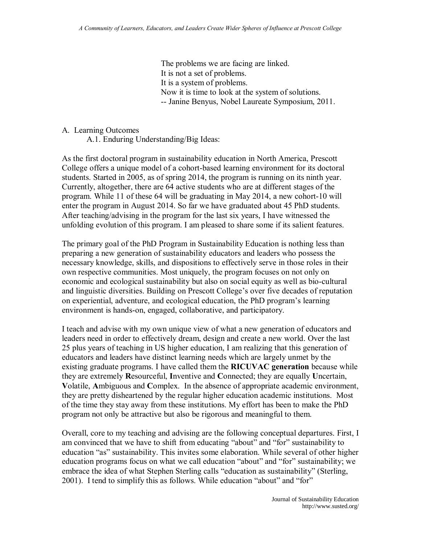The problems we are facing are linked. It is not a set of problems. It is a system of problems. Now it is time to look at the system of solutions. -- Janine Benyus, Nobel Laureate Symposium, 2011.

#### A. Learning Outcomes

A.1. Enduring Understanding/Big Ideas:

As the first doctoral program in sustainability education in North America, Prescott College offers a unique model of a cohort-based learning environment for its doctoral students. Started in 2005, as of spring 2014, the program is running on its ninth year. Currently, altogether, there are 64 active students who are at different stages of the program. While 11 of these 64 will be graduating in May 2014, a new cohort-10 will enter the program in August 2014. So far we have graduated about 45 PhD students. After teaching/advising in the program for the last six years, I have witnessed the unfolding evolution of this program. I am pleased to share some if its salient features.

The primary goal of the PhD Program in Sustainability Education is nothing less than preparing a new generation of sustainability educators and leaders who possess the necessary knowledge, skills, and dispositions to effectively serve in those roles in their own respective communities. Most uniquely, the program focuses on not only on economic and ecological sustainability but also on social equity as well as bio-cultural and linguistic diversities. Building on Prescott College's over five decades of reputation on experiential, adventure, and ecological education, the PhD program's learning environment is hands-on, engaged, collaborative, and participatory.

I teach and advise with my own unique view of what a new generation of educators and leaders need in order to effectively dream, design and create a new world. Over the last 25 plus years of teaching in US higher education, I am realizing that this generation of educators and leaders have distinct learning needs which are largely unmet by the existing graduate programs. I have called them the **RICUVAC generation** because while they are extremely **R**esourceful, **I**nventive and **C**onnected; they are equally **U**ncertain, **V**olatile, **A**mbiguous and **C**omplex. In the absence of appropriate academic environment, they are pretty disheartened by the regular higher education academic institutions. Most of the time they stay away from these institutions. My effort has been to make the PhD program not only be attractive but also be rigorous and meaningful to them.

Overall, core to my teaching and advising are the following conceptual departures. First, I am convinced that we have to shift from educating "about" and "for" sustainability to education "as" sustainability. This invites some elaboration. While several of other higher education programs focus on what we call education "about" and "for" sustainability; we embrace the idea of what Stephen Sterling calls "education as sustainability" (Sterling, 2001). I tend to simplify this as follows. While education "about" and "for"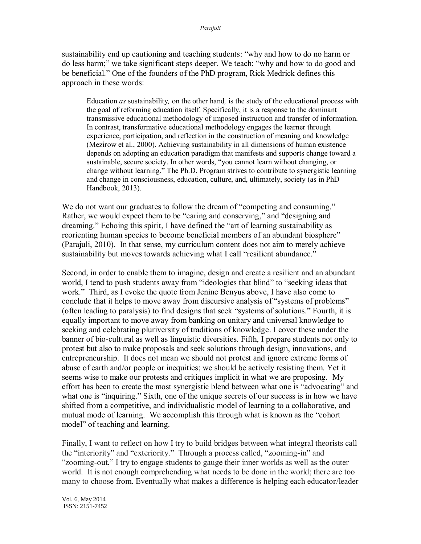sustainability end up cautioning and teaching students: "why and how to do no harm or do less harm;" we take significant steps deeper. We teach: "why and how to do good and be beneficial." One of the founders of the PhD program, Rick Medrick defines this approach in these words:

Education *as* sustainability*,* on the other hand*,* is the study of the educational process with the goal of reforming education itself. Specifically, it is a response to the dominant transmissive educational methodology of imposed instruction and transfer of information. In contrast, transformative educational methodology engages the learner through experience, participation, and reflection in the construction of meaning and knowledge (Mezirow et al., 2000). Achieving sustainability in all dimensions of human existence depends on adopting an education paradigm that manifests and supports change toward a sustainable, secure society. In other words, "you cannot learn without changing, or change without learning." The Ph.D. Program strives to contribute to synergistic learning and change in consciousness, education, culture, and, ultimately, society (as in PhD Handbook, 2013).

We do not want our graduates to follow the dream of "competing and consuming." Rather, we would expect them to be "caring and conserving," and "designing and dreaming." Echoing this spirit, I have defined the "art of learning sustainability as reorienting human species to become beneficial members of an abundant biosphere" (Parajuli, 2010). In that sense, my curriculum content does not aim to merely achieve sustainability but moves towards achieving what I call "resilient abundance."

Second, in order to enable them to imagine, design and create a resilient and an abundant world, I tend to push students away from "ideologies that blind" to "seeking ideas that work." Third, as I evoke the quote from Jenine Benyus above, I have also come to conclude that it helps to move away from discursive analysis of "systems of problems" (often leading to paralysis) to find designs that seek "systems of solutions." Fourth, it is equally important to move away from banking on unitary and universal knowledge to seeking and celebrating pluriversity of traditions of knowledge. I cover these under the banner of bio-cultural as well as linguistic diversities. Fifth, I prepare students not only to protest but also to make proposals and seek solutions through design, innovations, and entrepreneurship. It does not mean we should not protest and ignore extreme forms of abuse of earth and/or people or inequities; we should be actively resisting them. Yet it seems wise to make our protests and critiques implicit in what we are proposing. My effort has been to create the most synergistic blend between what one is "advocating" and what one is "inquiring." Sixth, one of the unique secrets of our success is in how we have shifted from a competitive, and individualistic model of learning to a collaborative, and mutual mode of learning. We accomplish this through what is known as the "cohort model" of teaching and learning.

Finally, I want to reflect on how I try to build bridges between what integral theorists call the "interiority" and "exteriority." Through a process called, "zooming-in" and "zooming-out," I try to engage students to gauge their inner worlds as well as the outer world. It is not enough comprehending what needs to be done in the world; there are too many to choose from. Eventually what makes a difference is helping each educator/leader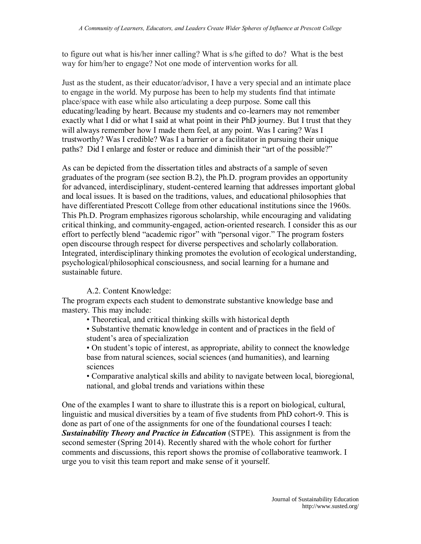to figure out what is his/her inner calling? What is s/he gifted to do? What is the best way for him/her to engage? Not one mode of intervention works for all.

Just as the student, as their educator/advisor, I have a very special and an intimate place to engage in the world. My purpose has been to help my students find that intimate place/space with ease while also articulating a deep purpose. Some call this educating/leading by heart. Because my students and co-learners may not remember exactly what I did or what I said at what point in their PhD journey. But I trust that they will always remember how I made them feel, at any point. Was I caring? Was I trustworthy? Was I credible? Was I a barrier or a facilitator in pursuing their unique paths? Did I enlarge and foster or reduce and diminish their "art of the possible?"

As can be depicted from the dissertation titles and abstracts of a sample of seven graduates of the program (see section B.2), the Ph.D. program provides an opportunity for advanced, interdisciplinary, student-centered learning that addresses important global and local issues. It is based on the traditions, values, and educational philosophies that have differentiated Prescott College from other educational institutions since the 1960s. This Ph.D. Program emphasizes rigorous scholarship, while encouraging and validating critical thinking, and community-engaged, action-oriented research. I consider this as our effort to perfectly blend "academic rigor" with "personal vigor." The program fosters open discourse through respect for diverse perspectives and scholarly collaboration. Integrated, interdisciplinary thinking promotes the evolution of ecological understanding, psychological/philosophical consciousness, and social learning for a humane and sustainable future.

### A.2. Content Knowledge:

The program expects each student to demonstrate substantive knowledge base and mastery. This may include:

- Theoretical, and critical thinking skills with historical depth
- Substantive thematic knowledge in content and of practices in the field of student's area of specialization

• On student's topic of interest, as appropriate, ability to connect the knowledge base from natural sciences, social sciences (and humanities), and learning sciences

• Comparative analytical skills and ability to navigate between local, bioregional, national, and global trends and variations within these

One of the examples I want to share to illustrate this is a report on biological, cultural, linguistic and musical diversities by a team of five students from PhD cohort-9. This is done as part of one of the assignments for one of the foundational courses I teach: *Sustainability Theory and Practice in Education* (STPE). This assignment is from the second semester (Spring 2014). Recently shared with the whole cohort for further comments and discussions, this report shows the promise of collaborative teamwork. I urge you to visit this team report and make sense of it yourself.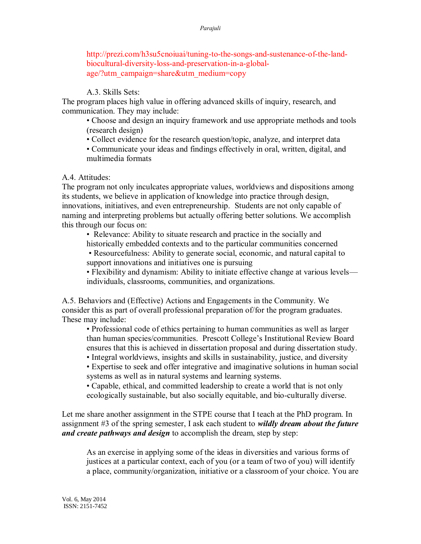http://prezi.com/h3su5cnoiuai/tuning-to-the-songs-and-sustenance-of-the-landbiocultural-diversity-loss-and-preservation-in-a-globalage/?utm\_campaign=share&utm\_medium=copy

### A.3. Skills Sets:

The program places high value in offering advanced skills of inquiry, research, and communication. They may include:

• Choose and design an inquiry framework and use appropriate methods and tools (research design)

• Collect evidence for the research question/topic, analyze, and interpret data

• Communicate your ideas and findings effectively in oral, written, digital, and multimedia formats

A.4. Attitudes:

The program not only inculcates appropriate values, worldviews and dispositions among its students, we believe in application of knowledge into practice through design, innovations, initiatives, and even entrepreneurship. Students are not only capable of naming and interpreting problems but actually offering better solutions. We accomplish this through our focus on:

• Relevance: Ability to situate research and practice in the socially and historically embedded contexts and to the particular communities concerned

• Resourcefulness: Ability to generate social, economic, and natural capital to support innovations and initiatives one is pursuing

• Flexibility and dynamism: Ability to initiate effective change at various levels individuals, classrooms, communities, and organizations.

A.5. Behaviors and (Effective) Actions and Engagements in the Community. We consider this as part of overall professional preparation of/for the program graduates. These may include:

• Professional code of ethics pertaining to human communities as well as larger than human species/communities. Prescott College's Institutional Review Board ensures that this is achieved in dissertation proposal and during dissertation study.

• Integral worldviews, insights and skills in sustainability, justice, and diversity

• Expertise to seek and offer integrative and imaginative solutions in human social systems as well as in natural systems and learning systems.

• Capable, ethical, and committed leadership to create a world that is not only ecologically sustainable, but also socially equitable, and bio-culturally diverse.

Let me share another assignment in the STPE course that I teach at the PhD program. In assignment #3 of the spring semester, I ask each student to *wildly dream about the future and create pathways and design* to accomplish the dream, step by step:

As an exercise in applying some of the ideas in diversities and various forms of justices at a particular context, each of you (or a team of two of you) will identify a place, community/organization, initiative or a classroom of your choice. You are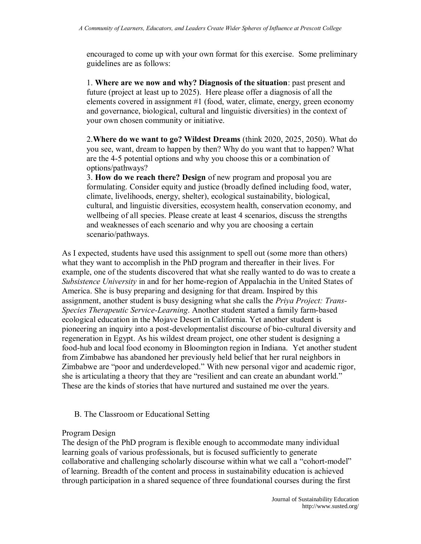encouraged to come up with your own format for this exercise. Some preliminary guidelines are as follows:

1. **Where are we now and why? Diagnosis of the situation**: past present and future (project at least up to 2025). Here please offer a diagnosis of all the elements covered in assignment #1 (food, water, climate, energy, green economy and governance, biological, cultural and linguistic diversities) in the context of your own chosen community or initiative.

2.**Where do we want to go? Wildest Dreams** (think 2020, 2025, 2050). What do you see, want, dream to happen by then? Why do you want that to happen? What are the 4-5 potential options and why you choose this or a combination of options/pathways?

3. **How do we reach there? Design** of new program and proposal you are formulating. Consider equity and justice (broadly defined including food, water, climate, livelihoods, energy, shelter), ecological sustainability, biological, cultural, and linguistic diversities, ecosystem health, conservation economy, and wellbeing of all species. Please create at least 4 scenarios, discuss the strengths and weaknesses of each scenario and why you are choosing a certain scenario/pathways.

As I expected, students have used this assignment to spell out (some more than others) what they want to accomplish in the PhD program and thereafter in their lives. For example, one of the students discovered that what she really wanted to do was to create a *Subsistence University* in and for her home-region of Appalachia in the United States of America. She is busy preparing and designing for that dream. Inspired by this assignment, another student is busy designing what she calls the *Priya Project: Trans-Species Therapeutic Service-Learning*. Another student started a family farm-based ecological education in the Mojave Desert in California. Yet another student is pioneering an inquiry into a post-developmentalist discourse of bio-cultural diversity and regeneration in Egypt. As his wildest dream project, one other student is designing a food-hub and local food economy in Bloomington region in Indiana. Yet another student from Zimbabwe has abandoned her previously held belief that her rural neighbors in Zimbabwe are "poor and underdeveloped." With new personal vigor and academic rigor, she is articulating a theory that they are "resilient and can create an abundant world." These are the kinds of stories that have nurtured and sustained me over the years.

### B. The Classroom or Educational Setting

### Program Design

The design of the PhD program is flexible enough to accommodate many individual learning goals of various professionals, but is focused sufficiently to generate collaborative and challenging scholarly discourse within what we call a "cohort-model" of learning. Breadth of the content and process in sustainability education is achieved through participation in a shared sequence of three foundational courses during the first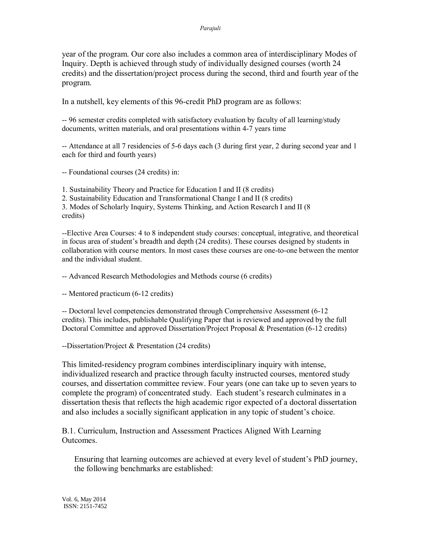#### *Parajuli*

year of the program. Our core also includes a common area of interdisciplinary Modes of Inquiry. Depth is achieved through study of individually designed courses (worth 24 credits) and the dissertation/project process during the second, third and fourth year of the program.

In a nutshell, key elements of this 96-credit PhD program are as follows:

-- 96 semester credits completed with satisfactory evaluation by faculty of all learning/study documents, written materials, and oral presentations within 4-7 years time

-- Attendance at all 7 residencies of 5-6 days each (3 during first year, 2 during second year and 1 each for third and fourth years)

-- Foundational courses (24 credits) in:

1. Sustainability Theory and Practice for Education I and II (8 credits) 2. Sustainability Education and Transformational Change I and II (8 credits) 3. Modes of Scholarly Inquiry, Systems Thinking, and Action Research I and II (8 credits)

--Elective Area Courses: 4 to 8 independent study courses: conceptual, integrative, and theoretical in focus area of student's breadth and depth (24 credits). These courses designed by students in collaboration with course mentors. In most cases these courses are one-to-one between the mentor and the individual student.

-- Advanced Research Methodologies and Methods course (6 credits)

-- Mentored practicum (6-12 credits)

-- Doctoral level competencies demonstrated through Comprehensive Assessment (6-12 credits). This includes, publishable Qualifying Paper that is reviewed and approved by the full Doctoral Committee and approved Dissertation/Project Proposal & Presentation (6-12 credits)

--Dissertation/Project & Presentation (24 credits)

This limited-residency program combines interdisciplinary inquiry with intense, individualized research and practice through faculty instructed courses, mentored study courses, and dissertation committee review. Four years (one can take up to seven years to complete the program) of concentrated study. Each student's research culminates in a dissertation thesis that reflects the high academic rigor expected of a doctoral dissertation and also includes a socially significant application in any topic of student's choice.

B.1. Curriculum, Instruction and Assessment Practices Aligned With Learning Outcomes.

Ensuring that learning outcomes are achieved at every level of student's PhD journey, the following benchmarks are established: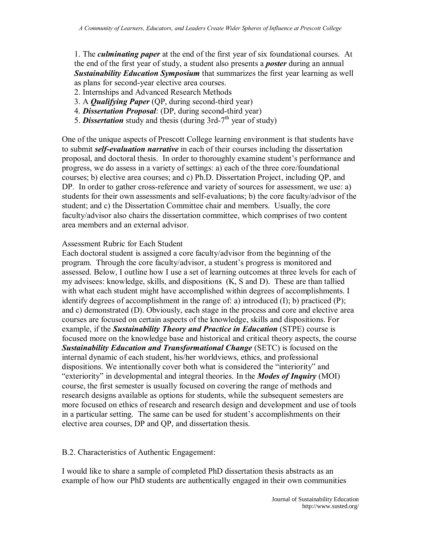1. The *culminating paper* at the end of the first year of six foundational courses. At the end of the first year of study, a student also presents a *poster* during an annual *Sustainability Education Symposium* that summarizes the first year learning as well as plans for second-year elective area courses.

- 2. Internships and Advanced Research Methods
- 3. A *Qualifying Paper* (QP, during second-third year)
- 4. *Dissertation Proposal*: (DP, during second-third year)
- 5. **Dissertation** study and thesis (during 3rd-7<sup>th</sup> year of study)

One of the unique aspects of Prescott College learning environment is that students have to submit *self-evaluation narrative* in each of their courses including the dissertation proposal, and doctoral thesis. In order to thoroughly examine student's performance and progress, we do assess in a variety of settings: a) each of the three core/foundational courses; b) elective area courses; and c) Ph.D. Dissertation Project, including QP, and DP. In order to gather cross-reference and variety of sources for assessment, we use: a) students for their own assessments and self-evaluations; b) the core faculty/advisor of the student; and c) the Dissertation Committee chair and members. Usually, the core faculty/advisor also chairs the dissertation committee, which comprises of two content area members and an external advisor.

#### Assessment Rubric for Each Student

Each doctoral student is assigned a core faculty/advisor from the beginning of the program. Through the core faculty/advisor, a student's progress is monitored and assessed. Below, I outline how I use a set of learning outcomes at three levels for each of my advisees: knowledge, skills, and dispositions (K, S and D). These are than tallied with what each student might have accomplished within degrees of accomplishments. I identify degrees of accomplishment in the range of: a) introduced (I); b) practiced (P); and c) demonstrated (D). Obviously, each stage in the process and core and elective area courses are focused on certain aspects of the knowledge, skills and dispositions. For example, if the *Sustainability Theory and Practice in Education* (STPE) course is focused more on the knowledge base and historical and critical theory aspects, the course *Sustainability Education and Transformational Change* (SETC) is focused on the internal dynamic of each student, his/her worldviews, ethics, and professional dispositions. We intentionally cover both what is considered the "interiority" and "exteriority" in developmental and integral theories. In the *Modes of Inquiry* (MOI) course, the first semester is usually focused on covering the range of methods and research designs available as options for students, while the subsequent semesters are more focused on ethics of research and research design and development and use of tools in a particular setting. The same can be used for student's accomplishments on their elective area courses, DP and QP, and dissertation thesis.

#### B.2. Characteristics of Authentic Engagement:

I would like to share a sample of completed PhD dissertation thesis abstracts as an example of how our PhD students are authentically engaged in their own communities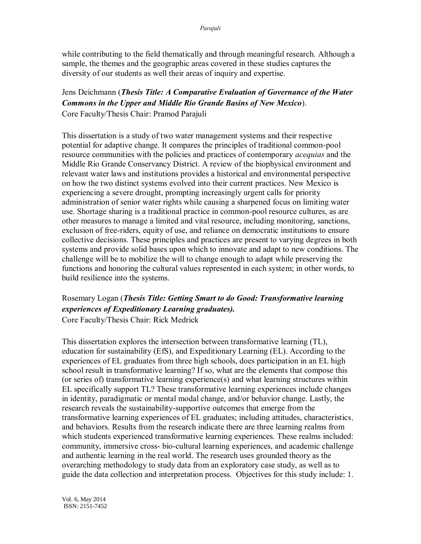while contributing to the field thematically and through meaningful research. Although a sample, the themes and the geographic areas covered in these studies captures the diversity of our students as well their areas of inquiry and expertise.

Jens Deichmann (*Thesis Title: A Comparative Evaluation of Governance of the Water Commons in the Upper and Middle Rio Grande Basins of New Mexico*). Core Faculty/Thesis Chair: Pramod Parajuli

This dissertation is a study of two water management systems and their respective potential for adaptive change. It compares the principles of traditional common-pool resource communities with the policies and practices of contemporary *acequias* and the Middle Rio Grande Conservancy District. A review of the biophysical environment and relevant water laws and institutions provides a historical and environmental perspective on how the two distinct systems evolved into their current practices. New Mexico is experiencing a severe drought, prompting increasingly urgent calls for priority administration of senior water rights while causing a sharpened focus on limiting water use. Shortage sharing is a traditional practice in common-pool resource cultures, as are other measures to manage a limited and vital resource, including monitoring, sanctions, exclusion of free-riders, equity of use, and reliance on democratic institutions to ensure collective decisions. These principles and practices are present to varying degrees in both systems and provide solid bases upon which to innovate and adapt to new conditions. The challenge will be to mobilize the will to change enough to adapt while preserving the functions and honoring the cultural values represented in each system; in other words, to build resilience into the systems.

### Rosemary Logan (*Thesis Title: Getting Smart to do Good: Transformative learning experiences of Expeditionary Learning graduates).*  Core Faculty/Thesis Chair: Rick Medrick

This dissertation explores the intersection between transformative learning (TL), education for sustainability (EfS), and Expeditionary Learning (EL). According to the experiences of EL graduates from three high schools, does participation in an EL high school result in transformative learning? If so, what are the elements that compose this (or series of) transformative learning experience(s) and what learning structures within EL specifically support TL? These transformative learning experiences include changes in identity, paradigmatic or mental modal change, and/or behavior change. Lastly, the research reveals the sustainability-supportive outcomes that emerge from the transformative learning experiences of EL graduates; including attitudes, characteristics, and behaviors. Results from the research indicate there are three learning realms from which students experienced transformative learning experiences. These realms included: community, immersive cross- bio-cultural learning experiences, and academic challenge and authentic learning in the real world. The research uses grounded theory as the overarching methodology to study data from an exploratory case study, as well as to guide the data collection and interpretation process. Objectives for this study include: 1.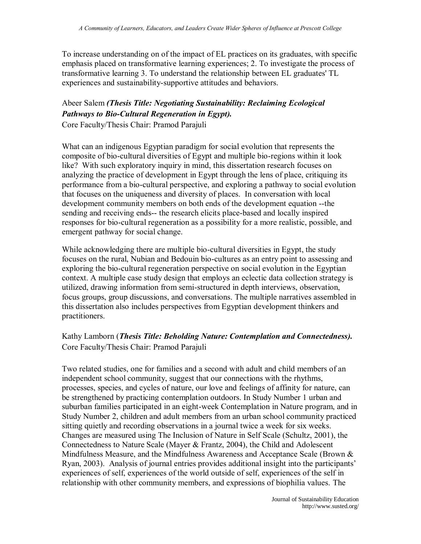To increase understanding on of the impact of EL practices on its graduates, with specific emphasis placed on transformative learning experiences; 2. To investigate the process of transformative learning 3. To understand the relationship between EL graduates' TL experiences and sustainability-supportive attitudes and behaviors.

### Abeer Salem *(Thesis Title: Negotiating Sustainability: Reclaiming Ecological Pathways to Bio-Cultural Regeneration in Egypt).* Core Faculty/Thesis Chair: Pramod Parajuli

What can an indigenous Egyptian paradigm for social evolution that represents the composite of bio-cultural diversities of Egypt and multiple bio-regions within it look like? With such exploratory inquiry in mind, this dissertation research focuses on analyzing the practice of development in Egypt through the lens of place, critiquing its performance from a bio-cultural perspective, and exploring a pathway to social evolution that focuses on the uniqueness and diversity of places. In conversation with local development community members on both ends of the development equation --the sending and receiving ends-- the research elicits place-based and locally inspired responses for bio-cultural regeneration as a possibility for a more realistic, possible, and emergent pathway for social change.

While acknowledging there are multiple bio-cultural diversities in Egypt, the study focuses on the rural, Nubian and Bedouin bio-cultures as an entry point to assessing and exploring the bio-cultural regeneration perspective on social evolution in the Egyptian context. A multiple case study design that employs an eclectic data collection strategy is utilized, drawing information from semi-structured in depth interviews, observation, focus groups, group discussions, and conversations. The multiple narratives assembled in this dissertation also includes perspectives from Egyptian development thinkers and practitioners.

## Kathy Lamborn (*Thesis Title: Beholding Nature: Contemplation and Connectedness).*  Core Faculty/Thesis Chair: Pramod Parajuli

Two related studies, one for families and a second with adult and child members of an independent school community, suggest that our connections with the rhythms, processes, species, and cycles of nature, our love and feelings of affinity for nature, can be strengthened by practicing contemplation outdoors. In Study Number 1 urban and suburban families participated in an eight-week Contemplation in Nature program, and in Study Number 2, children and adult members from an urban school community practiced sitting quietly and recording observations in a journal twice a week for six weeks. Changes are measured using The Inclusion of Nature in Self Scale (Schultz, 2001), the Connectedness to Nature Scale (Mayer & Frantz, 2004), the Child and Adolescent Mindfulness Measure, and the Mindfulness Awareness and Acceptance Scale (Brown & Ryan, 2003). Analysis of journal entries provides additional insight into the participants' experiences of self, experiences of the world outside of self, experiences of the self in relationship with other community members, and expressions of biophilia values. The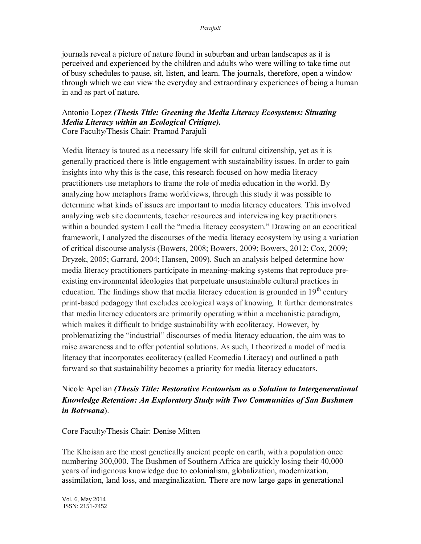journals reveal a picture of nature found in suburban and urban landscapes as it is perceived and experienced by the children and adults who were willing to take time out of busy schedules to pause, sit, listen, and learn. The journals, therefore, open a window through which we can view the everyday and extraordinary experiences of being a human in and as part of nature.

#### Antonio Lopez *(Thesis Title: Greening the Media Literacy Ecosystems: Situating Media Literacy within an Ecological Critique).* Core Faculty/Thesis Chair: Pramod Parajuli

Media literacy is touted as a necessary life skill for cultural citizenship, yet as it is generally practiced there is little engagement with sustainability issues. In order to gain insights into why this is the case, this research focused on how media literacy practitioners use metaphors to frame the role of media education in the world. By analyzing how metaphors frame worldviews, through this study it was possible to determine what kinds of issues are important to media literacy educators. This involved analyzing web site documents, teacher resources and interviewing key practitioners within a bounded system I call the "media literacy ecosystem." Drawing on an ecocritical framework, I analyzed the discourses of the media literacy ecosystem by using a variation of critical discourse analysis (Bowers, 2008; Bowers, 2009; Bowers, 2012; Cox, 2009; Dryzek, 2005; Garrard, 2004; Hansen, 2009). Such an analysis helped determine how media literacy practitioners participate in meaning-making systems that reproduce preexisting environmental ideologies that perpetuate unsustainable cultural practices in education. The findings show that media literacy education is grounded in  $19<sup>th</sup>$  century print-based pedagogy that excludes ecological ways of knowing. It further demonstrates that media literacy educators are primarily operating within a mechanistic paradigm, which makes it difficult to bridge sustainability with ecoliteracy. However, by problematizing the "industrial" discourses of media literacy education, the aim was to raise awareness and to offer potential solutions. As such, I theorized a model of media literacy that incorporates ecoliteracy (called Ecomedia Literacy) and outlined a path forward so that sustainability becomes a priority for media literacy educators.

## Nicole Apelian *(Thesis Title: Restorative Ecotourism as a Solution to Intergenerational Knowledge Retention: An Exploratory Study with Two Communities of San Bushmen in Botswana*).

Core Faculty/Thesis Chair: Denise Mitten

The Khoisan are the most genetically ancient people on earth, with a population once numbering 300,000. The Bushmen of Southern Africa are quickly losing their 40,000 years of indigenous knowledge due to colonialism, globalization, modernization, assimilation, land loss, and marginalization. There are now large gaps in generational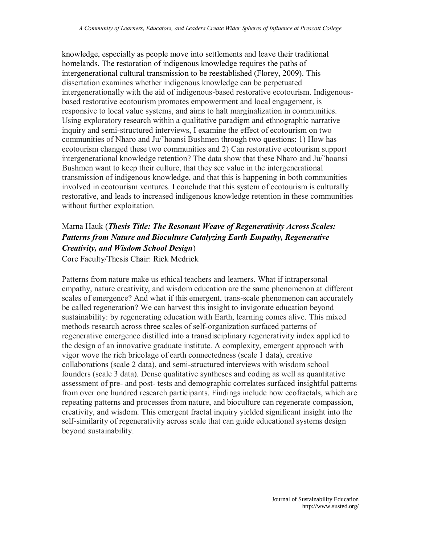knowledge, especially as people move into settlements and leave their traditional homelands. The restoration of indigenous knowledge requires the paths of intergenerational cultural transmission to be reestablished (Florey, 2009). This dissertation examines whether indigenous knowledge can be perpetuated intergenerationally with the aid of indigenous-based restorative ecotourism. Indigenousbased restorative ecotourism promotes empowerment and local engagement, is responsive to local value systems, and aims to halt marginalization in communities. Using exploratory research within a qualitative paradigm and ethnographic narrative inquiry and semi-structured interviews, I examine the effect of ecotourism on two communities of Nharo and Ju/'hoansi Bushmen through two questions: 1) How has ecotourism changed these two communities and 2) Can restorative ecotourism support intergenerational knowledge retention? The data show that these Nharo and Ju/'hoansi Bushmen want to keep their culture, that they see value in the intergenerational transmission of indigenous knowledge, and that this is happening in both communities involved in ecotourism ventures. I conclude that this system of ecotourism is culturally restorative, and leads to increased indigenous knowledge retention in these communities without further exploitation.

# Marna Hauk (*Thesis Title: The Resonant Weave of Regenerativity Across Scales: Patterns from Nature and Bioculture Catalyzing Earth Empathy, Regenerative Creativity, and Wisdom School Design*)

Core Faculty/Thesis Chair: Rick Medrick

Patterns from nature make us ethical teachers and learners. What if intrapersonal empathy, nature creativity, and wisdom education are the same phenomenon at different scales of emergence? And what if this emergent, trans-scale phenomenon can accurately be called regeneration? We can harvest this insight to invigorate education beyond sustainability: by regenerating education with Earth, learning comes alive. This mixed methods research across three scales of self-organization surfaced patterns of regenerative emergence distilled into a transdisciplinary regenerativity index applied to the design of an innovative graduate institute. A complexity, emergent approach with vigor wove the rich bricolage of earth connectedness (scale 1 data), creative collaborations (scale 2 data), and semi-structured interviews with wisdom school founders (scale 3 data). Dense qualitative syntheses and coding as well as quantitative assessment of pre- and post- tests and demographic correlates surfaced insightful patterns from over one hundred research participants. Findings include how ecofractals, which are repeating patterns and processes from nature, and bioculture can regenerate compassion, creativity, and wisdom. This emergent fractal inquiry yielded significant insight into the self-similarity of regenerativity across scale that can guide educational systems design beyond sustainability.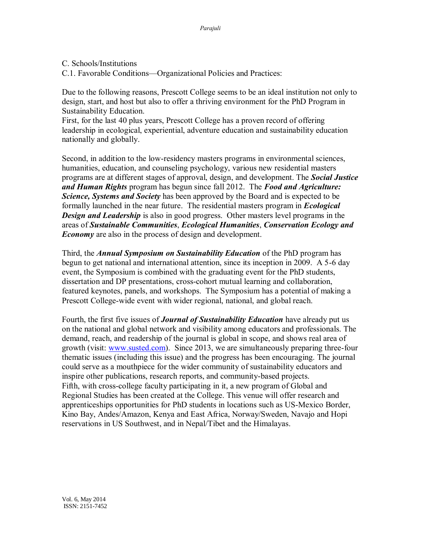- C. Schools/Institutions
- C.1. Favorable Conditions—Organizational Policies and Practices:

Due to the following reasons, Prescott College seems to be an ideal institution not only to design, start, and host but also to offer a thriving environment for the PhD Program in Sustainability Education.

First, for the last 40 plus years, Prescott College has a proven record of offering leadership in ecological, experiential, adventure education and sustainability education nationally and globally.

Second, in addition to the low-residency masters programs in environmental sciences, humanities, education, and counseling psychology, various new residential masters programs are at different stages of approval, design, and development. The *Social Justice and Human Rights* program has begun since fall 2012. The *Food and Agriculture: Science, Systems and Society* has been approved by the Board and is expected to be formally launched in the near future. The residential masters program in *Ecological Design and Leadership* is also in good progress. Other masters level programs in the areas of *Sustainable Communities*, *Ecological Humanities*, *Conservation Ecology and Economy* are also in the process of design and development.

Third, the *Annual Symposium on Sustainability Education* of the PhD program has begun to get national and international attention, since its inception in 2009. A 5-6 day event, the Symposium is combined with the graduating event for the PhD students, dissertation and DP presentations, cross-cohort mutual learning and collaboration, featured keynotes, panels, and workshops. The Symposium has a potential of making a Prescott College-wide event with wider regional, national, and global reach.

Fourth, the first five issues of *Journal of Sustainability Education* have already put us on the national and global network and visibility among educators and professionals. The demand, reach, and readership of the journal is global in scope, and shows real area of growth (visit: [www.susted.com\)](http://www.susted.com/). Since 2013, we are simultaneously preparing three-four thematic issues (including this issue) and the progress has been encouraging. The journal could serve as a mouthpiece for the wider community of sustainability educators and inspire other publications, research reports, and community-based projects. Fifth, with cross-college faculty participating in it, a new program of Global and Regional Studies has been created at the College. This venue will offer research and apprenticeships opportunities for PhD students in locations such as US-Mexico Border, Kino Bay, Andes/Amazon, Kenya and East Africa, Norway/Sweden, Navajo and Hopi reservations in US Southwest, and in Nepal/Tibet and the Himalayas.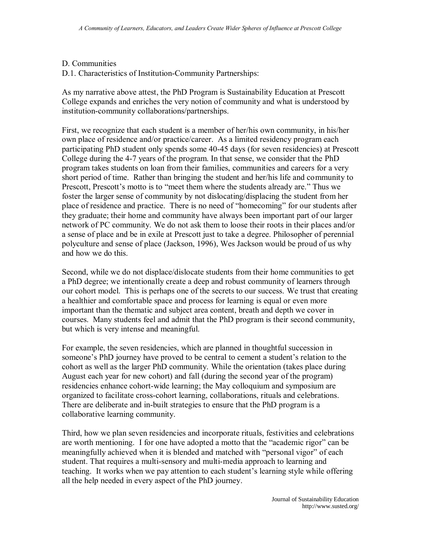#### D. Communities

D.1. Characteristics of Institution-Community Partnerships:

As my narrative above attest, the PhD Program is Sustainability Education at Prescott College expands and enriches the very notion of community and what is understood by institution-community collaborations/partnerships.

First, we recognize that each student is a member of her/his own community, in his/her own place of residence and/or practice/career. As a limited residency program each participating PhD student only spends some 40-45 days (for seven residencies) at Prescott College during the 4-7 years of the program. In that sense, we consider that the PhD program takes students on loan from their families, communities and careers for a very short period of time. Rather than bringing the student and her/his life and community to Prescott, Prescott's motto is to "meet them where the students already are." Thus we foster the larger sense of community by not dislocating/displacing the student from her place of residence and practice. There is no need of "homecoming" for our students after they graduate; their home and community have always been important part of our larger network of PC community. We do not ask them to loose their roots in their places and/or a sense of place and be in exile at Prescott just to take a degree. Philosopher of perennial polyculture and sense of place (Jackson, 1996), Wes Jackson would be proud of us why and how we do this.

Second, while we do not displace/dislocate students from their home communities to get a PhD degree; we intentionally create a deep and robust community of learners through our cohort model. This is perhaps one of the secrets to our success. We trust that creating a healthier and comfortable space and process for learning is equal or even more important than the thematic and subject area content, breath and depth we cover in courses. Many students feel and admit that the PhD program is their second community, but which is very intense and meaningful.

For example, the seven residencies, which are planned in thoughtful succession in someone's PhD journey have proved to be central to cement a student's relation to the cohort as well as the larger PhD community. While the orientation (takes place during August each year for new cohort) and fall (during the second year of the program) residencies enhance cohort-wide learning; the May colloquium and symposium are organized to facilitate cross-cohort learning, collaborations, rituals and celebrations. There are deliberate and in-built strategies to ensure that the PhD program is a collaborative learning community.

Third, how we plan seven residencies and incorporate rituals, festivities and celebrations are worth mentioning. I for one have adopted a motto that the "academic rigor" can be meaningfully achieved when it is blended and matched with "personal vigor" of each student. That requires a multi-sensory and multi-media approach to learning and teaching. It works when we pay attention to each student's learning style while offering all the help needed in every aspect of the PhD journey.